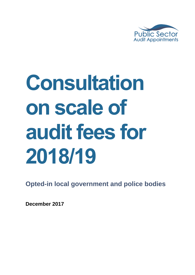

# **Consultation on scale of audit fees for 2018/19**

**Opted-in local government and police bodies**

**December 2017**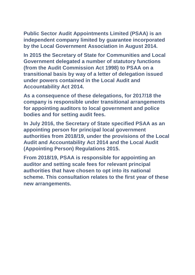**Public Sector Audit Appointments Limited (PSAA) is an independent company limited by guarantee incorporated by the Local Government Association in August 2014.**

**In 2015 the Secretary of State for Communities and Local Government delegated a number of statutory functions (from the Audit Commission Act 1998) to PSAA on a transitional basis by way of a letter of delegation issued under powers contained in the Local Audit and Accountability Act 2014.**

**As a consequence of these delegations, for 2017/18 the company is responsible under transitional arrangements for appointing auditors to local government and police bodies and for setting audit fees.** 

**In July 2016, the Secretary of State specified PSAA as an appointing person for principal local government authorities from 2018/19, under the provisions of the Local Audit and Accountability Act 2014 and the Local Audit (Appointing Person) Regulations 2015.**

**From 2018/19, PSAA is responsible for appointing an auditor and setting scale fees for relevant principal authorities that have chosen to opt into its national scheme. This consultation relates to the first year of these new arrangements.**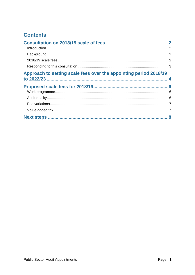## **Contents**

| Approach to setting scale fees over the appointing period 2018/19 |  |
|-------------------------------------------------------------------|--|
|                                                                   |  |
|                                                                   |  |
|                                                                   |  |
|                                                                   |  |
|                                                                   |  |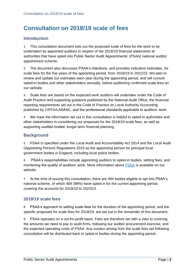## <span id="page-3-0"></span>**Consultation on 2018/19 scale of fees**

## <span id="page-3-1"></span>**Introduction**

**1** This consultation document sets out the proposed scale of fees for the work to be undertaken by appointed auditors in respect of the 2018/19 financial statements at authorities that have opted into Public Sector Audit Appointments' (PSAA) national auditor appointment scheme.

**2** The document also discusses PSAA's intentions, and provides indicative estimates, for scale fees for the five years of the appointing period, from 2018/19 to 2022/23. We plan to review and update our estimates each year during the appointing period, and will consult opted-in bodies and other stakeholders annually, before publishing confirmed scale fees on our website.

**3** Scale fees are based on the expected work auditors will undertake under the Code of Audit Practice and supporting guidance published by the National Audit Office, the financial reporting requirements set out in the Code of Practice on Local Authority Accounting published by CIPFA/LASAAC, and the professional standards applicable to auditors' work.

**4** We hope the information set out in this consultation is helpful to opted-in authorities and other stakeholders in considering our proposals for the 2018/19 scale fees, as well as supporting audited bodies' longer-term financial planning.

## <span id="page-3-2"></span>**Background**

**5** PSAA is specified under the Local Audit and Accountability Act 2014 and the Local Audit (Appointing Person) Regulations 2015 as the appointing person for principal local government bodies in England, including local police bodies.

**6** PSAA's responsibilities include appointing auditors to opted-in bodies, setting fees, and monitoring the quality of auditors' work. More information about [PSAA](http://www.psaa.co.uk/about-us/what-we-do/) is available on our website.

**7** At the time of issuing this consultation, there are 494 bodies eligible to opt into PSAA's national scheme, of which 484 (98%) have opted in for the current appointing period, covering the accounts for 2018/19 to 2022/23.

### <span id="page-3-3"></span>**2018/19 scale fees**

**8** PSAA's approach to setting scale fees for the duration of the appointing period, and the specific proposals for scale fees for 2018/19, are set out in the remainder of this document.

**9** PSAA operates on a not-for-profit basis. Fees are therefore set with a view to covering the amounts we need to pay to audit firms, following our auditor procurement exercise, and the expected operating costs of PSAA. Any surplus arising from the scale fees set following consultation will be distributed back to opted-in bodies during the appointing period.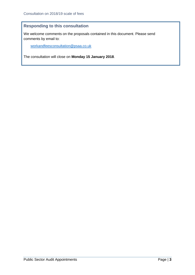## <span id="page-4-0"></span>**Responding to this consultation**

We welcome comments on the proposals contained in this document. Please send comments by email to:

[workandfeesconsultation@psaa.co.uk](mailto:workandfeesconsultation@psaa.co.uk)

The consultation will close on **Monday 15 January 2018**.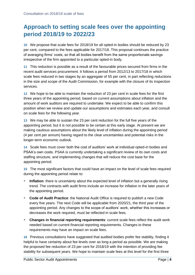## <span id="page-5-0"></span>**Approach to setting scale fees over the appointing period 2018/19 to 2022/23**

**10** We propose that scale fees for 2018/19 for all opted-in bodies should be reduced by 23 per cent, compared to the fees applicable for 2017/18. This proposal continues the practice of averaging firms' costs, so that all bodies benefit from the same proportionate savings irrespective of the firm appointed to a particular opted-in body.

**11** This reduction is possible as a result of the favourable prices secured from firms in the recent audit services procurement. It follows a period from 2012/13 to 2017/18 in which scale fees reduced in two stages by an aggregate of 55 per cent, in part reflecting reductions in the size and scope of the Audit Commission, for example with the closure of its inspection services.

**12** We hope to be able to maintain the reduction of 23 per cent in scale fees for the first three years of the appointing period, based on current assumptions about inflation and the amount of work auditors are required to undertake. We expect to be able to confirm this position when we review and update our assumptions and estimates each year, and consult on scale fees for the following year.

**13** We may be able to sustain the 23 per cent reduction for the full five years of the appointing period, but it is not possible to be certain at this early stage. At present we are making cautious assumptions about the likely level of inflation during the appointing period (4 per cent per annum) having regard to the clear uncertainties and potential risks in the longer-term economic outlook.

**14** Scale fees must cover both the cost of auditors' work at individual opted-in bodies and PSAA's own costs. PSAA is currently undertaking a significant review of its own costs and staffing structure, and implementing changes that will reduce the cost base for the appointing period.

**15** The most significant factors that could have an impact on the level of scale fees required during the appointing period relate to:

- **Inflation**: there is uncertainty about the expected level of inflation but a generally rising trend. The contracts with audit firms include an increase for inflation in the later years of the appointing period.
- **Code of Audit Practice**: the National Audit Office is required to publish a new Code every five years. The next Code will be applicable from 2020/21, the third year of the appointing period. Any changes to the scope of auditors' work, whether this increases or decreases the work required, must be reflected in scale fees.
- **Changes in financial reporting requirements**: current scale fees reflect the audit work needed based on current financial reporting requirements. Changes to these requirements may have an impact on scale fees.

**16** Previous consultations have suggested that audited bodies prefer fee stability, finding it helpful to have certainty about fee levels over as long a period as possible. We are making the proposed fee reduction of 23 per cent for 2018/19 with the intention of providing fee stability for subsequent years. We hope to maintain scale fees at this level for the first three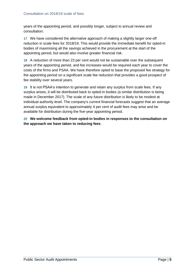years of the appointing period, and possibly longer, subject to annual review and consultation.

**17** We have considered the alternative approach of making a slightly larger one-off reduction in scale fees for 2018/19. This would provide the immediate benefit for opted-in bodies of maximising all the savings achieved in the procurement at the start of the appointing period, but would also involve greater financial risk.

**18** A reduction of more than 23 per cent would not be sustainable over the subsequent years of the appointing period, and fee increases would be required each year to cover the costs of the firms and PSAA. We have therefore opted to base the proposed fee strategy for the appointing period on a significant scale fee reduction that provides a good prospect of fee stability over several years.

**19** It is not PSAA's intention to generate and retain any surplus from scale fees. If any surplus arises, it will be distributed back to opted-in bodies (a similar distribution is being made in December 2017). The scale of any future distribution is likely to be modest at individual authority level. The company's current financial forecasts suggest that an average annual surplus equivalent to approximately 4 per cent of audit fees may arise and be available for distribution during the five-year appointing period.

**20 We welcome feedback from opted-in bodies in responses to the consultation on the approach we have taken to reducing fees**.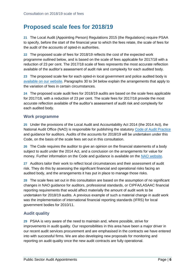## <span id="page-7-0"></span>**Proposed scale fees for 2018/19**

**21** The Local Audit (Appointing Person) Regulations 2015 (the Regulations) require PSAA to specify, before the start of the financial year to which the fees relate, the scale of fees for the audit of the accounts of opted-in authorities.

**22** The proposed scale of fees for 2018/19 reflects the cost of the expected work programme outlined below, and is based on the scale of fees applicable for 2017/18 with a reduction of 23 per cent. The 2017/18 scale of fees represents the most accurate reflection available of the auditor's assessment of audit risk and complexity for each audited body.

**23** The proposed scale fee for each opted-in local government and police audited body is [available on our website.](https://www.psaa.co.uk/audit-fees/201819-work-programme-and-scales-of-fees/) Paragraphs [30](#page-8-2) to [34](#page-8-3) below explain the arrangements that apply to the variation of fees in certain circumstances.

**24** The proposed scale audit fees for 2018/19 audits are based on the scale fees applicable for 2017/18, with a reduction of 23 per cent. The scale fees for 2017/18 provide the most accurate reflection available of the auditor's assessment of audit risk and complexity for each audited body.

#### <span id="page-7-1"></span>**Work programme**

**25** Under the provisions of the Local Audit and Accountability Act 2014 (the 2014 Act), the National Audit Office (NAO) is responsible for publishing the statutory [Code of Audit Practice](http://www.nao.org.uk/code-audit-practice/wp-content/uploads/sites/29/2015/03/Final-Code-of-Audit-Practice.pdf) and guidance for auditors. Audits of the accounts for 2018/19 will be undertaken under this Code, on the basis of the scale fees set out in this consultation.

**26** The Code requires the auditor to give an opinion on the financial statements of a body subject to audit under the 2014 Act, and a conclusion on the arrangements for value for money. Further information on the Code and guidance is available on the [NAO website.](http://www.nao.org.uk/code-audit-practice/)

**27** Auditors tailor their work to reflect local circumstances and their assessment of audit risk. They do this by assessing the significant financial and operational risks facing an audited body, and the arrangements it has put in place to manage those risks.

**28** The scale fees set out in this consultation are based on the assumption of no significant changes in NAO guidance for auditors, professional standards, or CIPFA/LASAAC financial reporting requirements that would affect materially the amount of audit work to be undertaken for 2018/19 audits. A previous example of such a material change in audit work was the implementation of international financial reporting standards (IFRS) for local government bodies for 2010/11.

## <span id="page-7-2"></span>**Audit quality**

**29** PSAA is very aware of the need to maintain and, where possible, strive for improvements in audit quality. Our responsibilities in this area have been a major driver in our recent audit services procurement and are emphasised in the contracts we have entered into with successful firms. We are also developing new proposals for monitoring and reporting on audit quality once the new audit contracts are fully operational.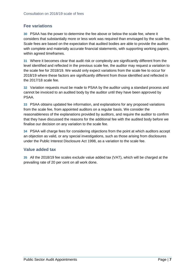## <span id="page-8-0"></span>**Fee variations**

<span id="page-8-2"></span>**30** PSAA has the power to determine the fee above or below the scale fee, where it considers that substantially more or less work was required than envisaged by the scale fee. Scale fees are based on the expectation that audited bodies are able to provide the auditor with complete and materially accurate financial statements, with supporting working papers, within agreed timeframes.

**31** Where it becomes clear that audit risk or complexity are significantly different from the level identified and reflected in the previous scale fee, the auditor may request a variation to the scale fee for 2018/19. We would only expect variations from the scale fee to occur for 2018/19 where these factors are significantly different from those identified and reflected in the 2017/18 scale fee.

**32** Variation requests must be made to PSAA by the auditor using a standard process and cannot be invoiced to an audited body by the auditor until they have been approved by PSAA.

**33** PSAA obtains updated fee information, and explanations for any proposed variations from the scale fee, from appointed auditors on a regular basis. We consider the reasonableness of the explanations provided by auditors, and require the auditor to confirm that they have discussed the reasons for the additional fee with the audited body before we finalise our decision on any variation to the scale fee.

<span id="page-8-3"></span>**34** PSAA will charge fees for considering objections from the point at which auditors accept an objection as valid, or any special investigations, such as those arising from disclosures under the Public Interest Disclosure Act 1998, as a variation to the scale fee.

### <span id="page-8-1"></span>**Value added tax**

**35** All the 2018/19 fee scales exclude value added tax (VAT), which will be charged at the prevailing rate of 20 per cent on all work done.